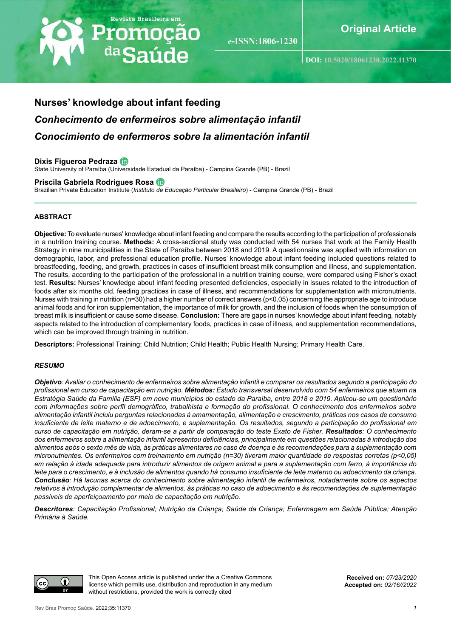# Revista Brasileira em Promoção <sup>da</sup>Saúde

e-ISSN:1806-1230

**DOI: [10.5020/18061230.2022.1](https://)1370**

## **Nurses' knowledge about infant feeding** *Conhecimento de enfermeiros sobre alimentação infantil Conocimiento de enfermeros sobre la alimentación infantil*

#### **Dixis Figueroa Pedraza**

State University of Paraíba (Universidade Estadual da Paraíba) - Campina Grande (PB) - Brazil

#### **Priscila Gabriela Rodrigues Rosa**

Brazilian Private Education Institute (*Instituto de Educação Particular Brasileiro*) - Campina Grande (PB) - Brazil

#### **ABSTRACT**

**Objective:** To evaluate nurses' knowledge about infant feeding and compare the results according to the participation of professionals in a nutrition training course. **Methods:** A cross-sectional study was conducted with 54 nurses that work at the Family Health Strategy in nine municipalities in the State of Paraíba between 2018 and 2019. A questionnaire was applied with information on demographic, labor, and professional education profile. Nurses' knowledge about infant feeding included questions related to breastfeeding, feeding, and growth, practices in cases of insufficient breast milk consumption and illness, and supplementation. The results, according to the participation of the professional in a nutrition training course, were compared using Fisher's exact test. **Results:** Nurses' knowledge about infant feeding presented deficiencies, especially in issues related to the introduction of foods after six months old, feeding practices in case of illness, and recommendations for supplementation with micronutrients. Nurses with training in nutrition (n=30) had a higher number of correct answers (p<0.05) concerning the appropriate age to introduce animal foods and for iron supplementation, the importance of milk for growth, and the inclusion of foods when the consumption of breast milk is insufficient or cause some disease. **Conclusion:** There are gaps in nurses' knowledge about infant feeding, notably aspects related to the introduction of complementary foods, practices in case of illness, and supplementation recommendations, which can be improved through training in nutrition.

**Descriptors:** Professional Training; Child Nutrition; Child Health; Public Health Nursing; Primary Health Care.

#### *RESUMO*

*Objetivo: Avaliar o conhecimento de enfermeiros sobre alimentação infantil e comparar os resultados segundo a participação do profissional em curso de capacitação em nutrição. Métodos: Estudo transversal desenvolvido com 54 enfermeiros que atuam na Estratégia Saúde da Família (ESF) em nove municípios do estado da Paraíba, entre 2018 e 2019. Aplicou-se um questionário com informações sobre perfil demográfico, trabalhista e formação do profissional. O conhecimento dos enfermeiros sobre alimentação infantil incluiu perguntas relacionadas à amamentação, alimentação e crescimento, práticas nos casos de consumo insuficiente de leite materno e de adoecimento, e suplementação. Os resultados, segundo a participação do profissional em curso de capacitação em nutrição, deram-se a partir de comparação do teste Exato de Fisher. Resultados: O conhecimento dos enfermeiros sobre a alimentação infantil apresentou deficiências, principalmente em questões relacionadas à introdução dos alimentos após o sexto mês de vida, às práticas alimentares no caso de doença e às recomendações para a suplementação com micronutrientes. Os enfermeiros com treinamento em nutrição (n=30) tiveram maior quantidade de respostas corretas (p<0,05) em relação à idade adequada para introduzir alimentos de origem animal e para a suplementação com ferro, à importância do leite para o crescimento, e à inclusão de alimentos quando há consumo insuficiente de leite materno ou adoecimento da criança. Conclusão: Há lacunas acerca do conhecimento sobre alimentação infantil de enfermeiros, notadamente sobre os aspectos relativos à introdução complementar de alimentos, às práticas no caso de adoecimento e às recomendações de suplementação passíveis de aperfeiçoamento por meio de capacitação em nutrição.*

*Descritores: Capacitação Profissional; Nutrição da Criança; Saúde da Criança; Enfermagem em Saúde Pública; Atenção Primária à Saúde.*



This Open Access article is published under the a Creative Commons license which permits use, distribution and reproduction in any medium without restrictions, provided the work is correctly cited

**Received on:** *07/23/2020* **Accepted on:** *02/16//2022*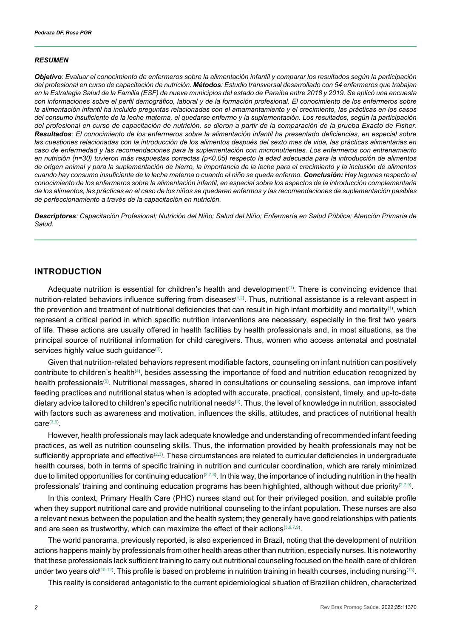#### *RESUMEN*

*Objetivo: Evaluar el conocimiento de enfermeros sobre la alimentación infantil y comparar los resultados según la participación del profesional en curso de capacitación de nutrición. Métodos: Estudio transversal desarrollado con 54 enfermeros que trabajan en la Estrategia Salud de la Familia (ESF) de nueve municipios del estado de Paraíba entre 2018 y 2019. Se aplicó una encuesta con informaciones sobre el perfil demográfico, laboral y de la formación profesional. El conocimiento de los enfermeros sobre la alimentación infantil ha incluido preguntas relacionadas con el amamantamiento y el crecimiento, las prácticas en los casos del consumo insuficiente de la leche materna, el quedarse enfermo y la suplementación. Los resultados, según la participación del profesional en curso de capacitación de nutrición, se dieron a partir de la comparación de la prueba Exacto de Fisher. Resultados: El conocimiento de los enfermeros sobre la alimentación infantil ha presentado deficiencias, en especial sobre las cuestiones relacionadas con la introducción de los alimentos después del sexto mes de vida, las prácticas alimentarias en caso de enfermedad y las recomendaciones para la suplementación con micronutrientes. Los enfermeros con entrenamiento en nutrición (n=30) tuvieron más respuestas correctas (p<0,05) respecto la edad adecuada para la introducción de alimentos de origen animal y para la suplementación de hierro, la importancia de la leche para el crecimiento y la inclusión de alimentos cuando hay consumo insuficiente de la leche materna o cuando el niño se queda enfermo. Conclusión: Hay lagunas respecto el conocimiento de los enfermeros sobre la alimentación infantil, en especial sobre los aspectos de la introducción complementaria de los alimentos, las prácticas en el caso de los niños se quedaren enfermos y las recomendaciones de suplementación pasibles de perfeccionamiento a través de la capacitación en nutrición.*

*Descriptores: Capacitación Profesional; Nutrición del Niño; Salud del Niño; Enfermería en Salud Pública; Atención Primaria de Salud.*

### **INTRODUCTION**

Adequate nutrition is essential for children's health and development<sup>([1](#page-8-0))</sup>. There is convincing evidence that nutrition-related behaviors influence suffering from diseases<sup>[\(1](#page-8-0)[,2\)](#page-8-1)</sup>. Thus, nutritional assistance is a relevant aspect in the prevention and treatment of nutritional deficiencies that can result in high infant morbidity and mortality( $^{\text{\tiny(1)}}$  $^{\text{\tiny(1)}}$  $^{\text{\tiny(1)}}$ , which represent a critical period in which specific nutrition interventions are necessary, especially in the first two years of life. These actions are usually offered in health facilities by health professionals and, in most situations, as the principal source of nutritional information for child caregivers. Thus, women who access antenatal and postnatal services highly value such guidance([3](#page-8-2)).

Given that nutrition-related behaviors represent modifiable factors, counseling on infant nutrition can positively contribute to children's health $^{(4)}$  $^{(4)}$  $^{(4)}$ , besides assessing the importance of food and nutrition education recognized by health professionals<sup>[\(5\)](#page-8-4)</sup>. Nutritional messages, shared in consultations or counseling sessions, can improve infant feeding practices and nutritional status when is adopted with accurate, practical, consistent, timely, and up-to-date dietary advice tailored to children's specific nutritional needs<sup>[\(3](#page-8-2))</sup>. Thus, the level of knowledge in nutrition, associated with factors such as awareness and motivation, influences the skills, attitudes, and practices of nutritional health  $\mathsf{care}^{(3,6)}.$  $\mathsf{care}^{(3,6)}.$  $\mathsf{care}^{(3,6)}.$  $\mathsf{care}^{(3,6)}.$ 

However, health professionals may lack adequate knowledge and understanding of recommended infant feeding practices, as well as nutrition counseling skills. Thus, the information provided by health professionals may not be sufficiently appropriate and effective<sup>[\(2](#page-8-1),[3](#page-8-2))</sup>. These circumstances are related to curricular deficiencies in undergraduate health courses, both in terms of specific training in nutrition and curricular coordination, which are rarely minimized due to limited opportunities for continuing education $^{(2,7,8)}.$  $^{(2,7,8)}.$  $^{(2,7,8)}.$  $^{(2,7,8)}.$  $^{(2,7,8)}.$  $^{(2,7,8)}.$  In this way, the importance of including nutrition in the health professionals' training and continuing education programs has been highlighted, although without due priority $^{(2,7,9)}$  $^{(2,7,9)}$  $^{(2,7,9)}$  $^{(2,7,9)}$  $^{(2,7,9)}$ .

In this context, Primary Health Care (PHC) nurses stand out for their privileged position, and suitable profile when they support nutritional care and provide nutritional counseling to the infant population. These nurses are also a relevant nexus between the population and the health system; they generally have good relationships with patients and are seen as trustworthy, which can maximize the effect of their actions $(3,6,7,9)$  $(3,6,7,9)$  $(3,6,7,9)$  $(3,6,7,9)$  $(3,6,7,9)$ .

The world panorama, previously reported, is also experienced in Brazil, noting that the development of nutrition actions happens mainly by professionals from other health areas other than nutrition, especially nurses. It is noteworthy that these professionals lack sufficient training to carry out nutritional counseling focused on the health care of children under two years old $^{(10\text{-}12)}$  $^{(10\text{-}12)}$  $^{(10\text{-}12)}$ . This profile is based on problems in nutrition training in health courses, including nursing $^{(13)}$  $^{(13)}$  $^{(13)}$ .

This reality is considered antagonistic to the current epidemiological situation of Brazilian children, characterized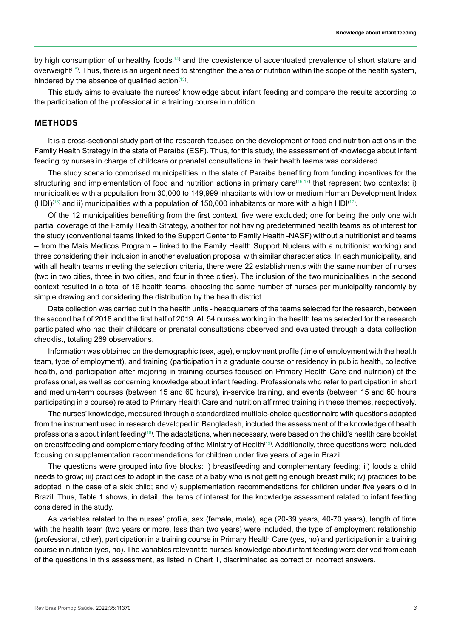by high consumption of unhealthy foods<sup>([14](#page-8-12))</sup> and the coexistence of accentuated prevalence of short stature and overweight<sup>([15](#page-8-13))</sup>. Thus, there is an urgent need to strengthen the area of nutrition within the scope of the health system, hindered by the absence of qualified action $^{\left(13\right)}$ .

This study aims to evaluate the nurses' knowledge about infant feeding and compare the results according to the participation of the professional in a training course in nutrition.

#### **METHODS**

It is a cross-sectional study part of the research focused on the development of food and nutrition actions in the Family Health Strategy in the state of Paraíba (ESF). Thus, for this study, the assessment of knowledge about infant feeding by nurses in charge of childcare or prenatal consultations in their health teams was considered.

The study scenario comprised municipalities in the state of Paraíba benefiting from funding incentives for the structuring and implementation of food and nutrition actions in primary care([16](#page-8-14)[,17\)](#page-8-15) that represent two contexts: i) municipalities with a population from 30,000 to 149,999 inhabitants with low or medium Human Development Index (HDI) $^{(16)}$  $^{(16)}$  $^{(16)}$  and ii) municipalities with a population of 150,000 inhabitants or more with a high HDI $^{(17)}.$  $^{(17)}.$  $^{(17)}.$ 

Of the 12 municipalities benefiting from the first context, five were excluded; one for being the only one with partial coverage of the Family Health Strategy, another for not having predetermined health teams as of interest for the study (conventional teams linked to the Support Center to Family Health -NASF) without a nutritionist and teams – from the Mais Médicos Program – linked to the Family Health Support Nucleus with a nutritionist working) and three considering their inclusion in another evaluation proposal with similar characteristics. In each municipality, and with all health teams meeting the selection criteria, there were 22 establishments with the same number of nurses (two in two cities, three in two cities, and four in three cities). The inclusion of the two municipalities in the second context resulted in a total of 16 health teams, choosing the same number of nurses per municipality randomly by simple drawing and considering the distribution by the health district.

Data collection was carried out in the health units - headquarters of the teams selected for the research, between the second half of 2018 and the first half of 2019. All 54 nurses working in the health teams selected for the research participated who had their childcare or prenatal consultations observed and evaluated through a data collection checklist, totaling 269 observations.

Information was obtained on the demographic (sex, age), employment profile (time of employment with the health team, type of employment), and training (participation in a graduate course or residency in public health, collective health, and participation after majoring in training courses focused on Primary Health Care and nutrition) of the professional, as well as concerning knowledge about infant feeding. Professionals who refer to participation in short and medium-term courses (between 15 and 60 hours), in-service training, and events (between 15 and 60 hours participating in a course) related to Primary Health Care and nutrition affirmed training in these themes, respectively.

The nurses' knowledge, measured through a standardized multiple-choice questionnaire with questions adapted from the instrument used in research developed in Bangladesh, included the assessment of the knowledge of health professionals about infant feeding<sup>[\(18\)](#page-8-16)</sup>. The adaptations, when necessary, were based on the child's health care booklet on breastfeeding and complementary feeding of the Ministry of Health<sup>([19](#page-9-0))</sup>. Additionally, three questions were included focusing on supplementation recommendations for children under five years of age in Brazil.

The questions were grouped into five blocks: i) breastfeeding and complementary feeding; ii) foods a child needs to grow; iii) practices to adopt in the case of a baby who is not getting enough breast milk; iv) practices to be adopted in the case of a sick child; and v) supplementation recommendations for children under five years old in Brazil. Thus, Table 1 shows, in detail, the items of interest for the knowledge assessment related to infant feeding considered in the study.

As variables related to the nurses' profile, sex (female, male), age (20-39 years, 40-70 years), length of time with the health team (two years or more, less than two years) were included, the type of employment relationship (professional, other), participation in a training course in Primary Health Care (yes, no) and participation in a training course in nutrition (yes, no). The variables relevant to nurses' knowledge about infant feeding were derived from each of the questions in this assessment, as listed in Chart 1, discriminated as correct or incorrect answers.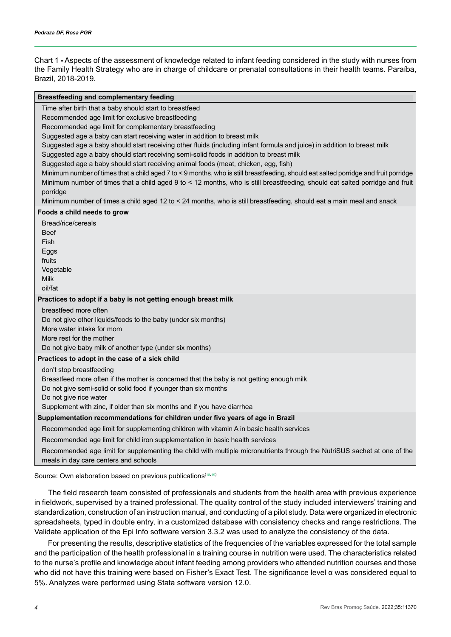Chart 1 **-** Aspects of the assessment of knowledge related to infant feeding considered in the study with nurses from the Family Health Strategy who are in charge of childcare or prenatal consultations in their health teams. Paraíba, Brazil, 2018-2019.

#### **Breastfeeding and complementary feeding**

Time after birth that a baby should start to breastfeed

Recommended age limit for exclusive breastfeeding

Recommended age limit for complementary breastfeeding

Suggested age a baby can start receiving water in addition to breast milk

Suggested age a baby should start receiving other fluids (including infant formula and juice) in addition to breast milk

Suggested age a baby should start receiving semi-solid foods in addition to breast milk

Suggested age a baby should start receiving animal foods (meat, chicken, egg, fish)

Minimum number of times that a child aged 7 to < 9 months, who is still breastfeeding, should eat salted porridge and fruit porridge Minimum number of times that a child aged 9 to < 12 months, who is still breastfeeding, should eat salted porridge and fruit porridge

Minimum number of times a child aged 12 to < 24 months, who is still breastfeeding, should eat a main meal and snack

#### **Foods a child needs to grow**

| Bread/rice/cereals<br><b>Beef</b><br><b>Fish</b><br>Eggs<br>fruits<br>Vegetable<br><b>Milk</b><br>oil/fat                                                                                                                                                                                     |
|-----------------------------------------------------------------------------------------------------------------------------------------------------------------------------------------------------------------------------------------------------------------------------------------------|
| Practices to adopt if a baby is not getting enough breast milk                                                                                                                                                                                                                                |
| breastfeed more often<br>Do not give other liquids/foods to the baby (under six months)<br>More water intake for mom<br>More rest for the mother<br>Do not give baby milk of another type (under six months)                                                                                  |
| Practices to adopt in the case of a sick child                                                                                                                                                                                                                                                |
| don't stop breastfeeding<br>Breastfeed more often if the mother is concerned that the baby is not getting enough milk<br>Do not give semi-solid or solid food if younger than six months<br>Do not give rice water<br>Supplement with zinc, if older than six months and if you have diarrhea |
| Supplementation recommendations for children under five years of age in Brazil                                                                                                                                                                                                                |
| Recommended age limit for supplementing children with vitamin A in basic health services                                                                                                                                                                                                      |
| Recommended age limit for child iron supplementation in basic health services                                                                                                                                                                                                                 |
| Recommended age limit for supplementing the child with multiple micronutrients through the NutriSUS sachet at one of the                                                                                                                                                                      |

meals in day care centers and schools

Source: Own elaboration based on previous publications[\(18](#page-8-16),[19](#page-9-0))

The field research team consisted of professionals and students from the health area with previous experience in fieldwork, supervised by a trained professional. The quality control of the study included interviewers' training and standardization, construction of an instruction manual, and conducting of a pilot study. Data were organized in electronic spreadsheets, typed in double entry, in a customized database with consistency checks and range restrictions. The Validate application of the Epi Info software version 3.3.2 was used to analyze the consistency of the data.

For presenting the results, descriptive statistics of the frequencies of the variables expressed for the total sample and the participation of the health professional in a training course in nutrition were used. The characteristics related to the nurse's profile and knowledge about infant feeding among providers who attended nutrition courses and those who did not have this training were based on Fisher's Exact Test. The significance level α was considered equal to 5%. Analyzes were performed using Stata software version 12.0.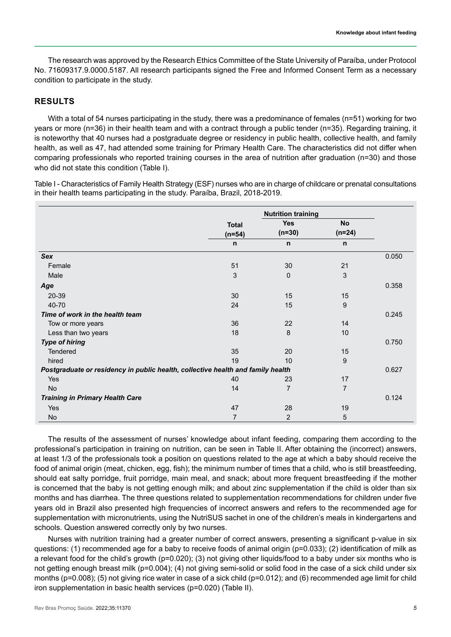The research was approved by the Research Ethics Committee of the State University of Paraíba, under Protocol No. 71609317.9.0000.5187. All research participants signed the Free and Informed Consent Term as a necessary condition to participate in the study.

## **RESULTS**

With a total of 54 nurses participating in the study, there was a predominance of females (n=51) working for two years or more (n=36) in their health team and with a contract through a public tender (n=35). Regarding training, it is noteworthy that 40 nurses had a postgraduate degree or residency in public health, collective health, and family health, as well as 47, had attended some training for Primary Health Care. The characteristics did not differ when comparing professionals who reported training courses in the area of nutrition after graduation (n=30) and those who did not state this condition (Table I).

Table I - Characteristics of Family Health Strategy (ESF) nurses who are in charge of childcare or prenatal consultations in their health teams participating in the study. Paraíba, Brazil, 2018-2019.

|                                                                                 | <b>Total</b><br>$(n=54)$ | <b>Nutrition training</b><br><b>Yes</b><br>$(n=30)$ | <b>No</b><br>$(n=24)$ |       |
|---------------------------------------------------------------------------------|--------------------------|-----------------------------------------------------|-----------------------|-------|
|                                                                                 | n                        | n                                                   | $\mathsf{n}$          |       |
| Sex                                                                             |                          |                                                     |                       | 0.050 |
| Female                                                                          | 51                       | 30                                                  | 21                    |       |
| Male                                                                            | 3                        | $\Omega$                                            | 3                     |       |
| Age                                                                             |                          |                                                     |                       | 0.358 |
| 20-39                                                                           | 30                       | 15                                                  | 15                    |       |
| 40-70                                                                           | 24                       | 15                                                  | 9                     |       |
| Time of work in the health team                                                 |                          |                                                     |                       | 0.245 |
| Tow or more years                                                               | 36                       | 22                                                  | 14                    |       |
| Less than two years                                                             | 18                       | 8                                                   | 10                    |       |
| <b>Type of hiring</b>                                                           |                          |                                                     |                       | 0.750 |
| <b>Tendered</b>                                                                 | 35                       | 20                                                  | 15                    |       |
| hired                                                                           | 19                       | 10                                                  | 9                     |       |
| Postgraduate or residency in public health, collective health and family health |                          |                                                     |                       |       |
| <b>Yes</b>                                                                      | 40                       | 23                                                  | 17                    |       |
| <b>No</b>                                                                       | 14                       | $\overline{7}$                                      | $\overline{7}$        |       |
| <b>Training in Primary Health Care</b>                                          |                          |                                                     |                       | 0.124 |
| <b>Yes</b>                                                                      | 47                       | 28                                                  | 19                    |       |
| No                                                                              | $\overline{7}$           | 2                                                   | 5                     |       |

The results of the assessment of nurses' knowledge about infant feeding, comparing them according to the professional's participation in training on nutrition, can be seen in Table II. After obtaining the (incorrect) answers, at least 1/3 of the professionals took a position on questions related to the age at which a baby should receive the food of animal origin (meat, chicken, egg, fish); the minimum number of times that a child, who is still breastfeeding, should eat salty porridge, fruit porridge, main meal, and snack; about more frequent breastfeeding if the mother is concerned that the baby is not getting enough milk; and about zinc supplementation if the child is older than six months and has diarrhea. The three questions related to supplementation recommendations for children under five years old in Brazil also presented high frequencies of incorrect answers and refers to the recommended age for supplementation with micronutrients, using the NutriSUS sachet in one of the children's meals in kindergartens and schools. Question answered correctly only by two nurses.

Nurses with nutrition training had a greater number of correct answers, presenting a significant p-value in six questions: (1) recommended age for a baby to receive foods of animal origin (p=0.033); (2) identification of milk as a relevant food for the child's growth (p=0.020); (3) not giving other liquids/food to a baby under six months who is not getting enough breast milk (p=0.004); (4) not giving semi-solid or solid food in the case of a sick child under six months (p=0.008); (5) not giving rice water in case of a sick child (p=0.012); and (6) recommended age limit for child iron supplementation in basic health services (p=0.020) (Table II).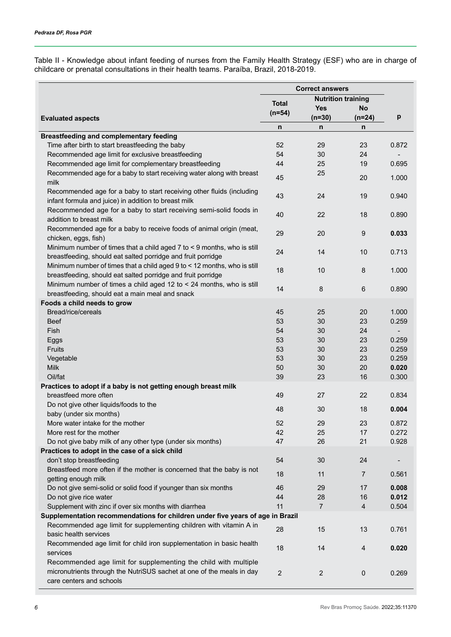Table II - Knowledge about infant feeding of nurses from the Family Health Strategy (ESF) who are in charge of childcare or prenatal consultations in their health teams. Paraíba, Brazil, 2018-2019.

|                                                                                                                                                                      | <b>Correct answers</b>                    |                |                |                          |
|----------------------------------------------------------------------------------------------------------------------------------------------------------------------|-------------------------------------------|----------------|----------------|--------------------------|
|                                                                                                                                                                      | <b>Nutrition training</b><br><b>Total</b> |                |                |                          |
|                                                                                                                                                                      | $(n=54)$                                  | <b>Yes</b>     | No             |                          |
| <b>Evaluated aspects</b>                                                                                                                                             |                                           | $(n=30)$       | $(n=24)$       | p                        |
|                                                                                                                                                                      | n                                         | n              | n              |                          |
| <b>Breastfeeding and complementary feeding</b>                                                                                                                       |                                           |                |                |                          |
| Time after birth to start breastfeeding the baby                                                                                                                     | 52                                        | 29             | 23             | 0.872                    |
| Recommended age limit for exclusive breastfeeding                                                                                                                    | 54                                        | 30             | 24             |                          |
| Recommended age limit for complementary breastfeeding                                                                                                                | 44                                        | 25             | 19             | 0.695                    |
| Recommended age for a baby to start receiving water along with breast<br>milk                                                                                        | 45                                        | 25             | 20             | 1.000                    |
| Recommended age for a baby to start receiving other fluids (including<br>infant formula and juice) in addition to breast milk                                        | 43                                        | 24             | 19             | 0.940                    |
| Recommended age for a baby to start receiving semi-solid foods in<br>addition to breast milk                                                                         | 40                                        | 22             | 18             | 0.890                    |
| Recommended age for a baby to receive foods of animal origin (meat,<br>chicken, eggs, fish)                                                                          | 29                                        | 20             | $9\,$          | 0.033                    |
| Minimum number of times that a child aged 7 to < 9 months, who is still<br>breastfeeding, should eat salted porridge and fruit porridge                              | 24                                        | 14             | 10             | 0.713                    |
| Minimum number of times that a child aged 9 to < 12 months, who is still<br>breastfeeding, should eat salted porridge and fruit porridge                             | 18                                        | 10             | 8              | 1.000                    |
| Minimum number of times a child aged 12 to < 24 months, who is still                                                                                                 | 14                                        | 8              | $\,6\,$        | 0.890                    |
| breastfeeding, should eat a main meal and snack<br>Foods a child needs to grow                                                                                       |                                           |                |                |                          |
| Bread/rice/cereals                                                                                                                                                   | 45                                        | 25             | 20             | 1.000                    |
| <b>Beef</b>                                                                                                                                                          | 53                                        | 30             | 23             | 0.259                    |
| Fish                                                                                                                                                                 | 54                                        | 30             | 24             | $\overline{\phantom{a}}$ |
| Eggs                                                                                                                                                                 | 53                                        | 30             | 23             | 0.259                    |
| <b>Fruits</b>                                                                                                                                                        | 53                                        | 30             | 23             | 0.259                    |
| Vegetable                                                                                                                                                            | 53                                        | 30             | 23             | 0.259                    |
| <b>Milk</b>                                                                                                                                                          | 50                                        | 30             | 20             | 0.020                    |
| Oil/fat                                                                                                                                                              | 39                                        | 23             | 16             | 0.300                    |
| Practices to adopt if a baby is not getting enough breast milk                                                                                                       |                                           |                |                |                          |
| breastfeed more often                                                                                                                                                | 49                                        | 27             | 22             | 0.834                    |
| Do not give other liquids/foods to the                                                                                                                               |                                           |                |                |                          |
| baby (under six months)                                                                                                                                              | 48                                        | 30             | 18             | 0.004                    |
| More water intake for the mother                                                                                                                                     | 52                                        | 29             | 23             | 0.872                    |
| More rest for the mother                                                                                                                                             | 42                                        | 25             | 17             | 0.272                    |
| Do not give baby milk of any other type (under six months)                                                                                                           | 47                                        | 26             | 21             | 0.928                    |
| Practices to adopt in the case of a sick child                                                                                                                       |                                           |                |                |                          |
| don't stop breastfeeding                                                                                                                                             | 54                                        | 30             | 24             |                          |
| Breastfeed more often if the mother is concerned that the baby is not                                                                                                | 18                                        | 11             | $\overline{7}$ | 0.561                    |
| getting enough milk                                                                                                                                                  |                                           |                |                |                          |
| Do not give semi-solid or solid food if younger than six months                                                                                                      | 46                                        | 29             | 17             | 0.008                    |
| Do not give rice water                                                                                                                                               | 44                                        | 28             | 16             | 0.012                    |
| Supplement with zinc if over six months with diarrhea                                                                                                                | 11                                        | $\overline{7}$ | $\overline{4}$ | 0.504                    |
| Supplementation recommendations for children under five years of age in Brazil                                                                                       |                                           |                |                |                          |
| Recommended age limit for supplementing children with vitamin A in<br>basic health services                                                                          | 28                                        | 15             | 13             | 0.761                    |
| Recommended age limit for child iron supplementation in basic health<br>services                                                                                     | 18                                        | 14             | $\overline{4}$ | 0.020                    |
| Recommended age limit for supplementing the child with multiple<br>micronutrients through the NutriSUS sachet at one of the meals in day<br>care centers and schools | $\overline{2}$                            | $\overline{c}$ | $\pmb{0}$      | 0.269                    |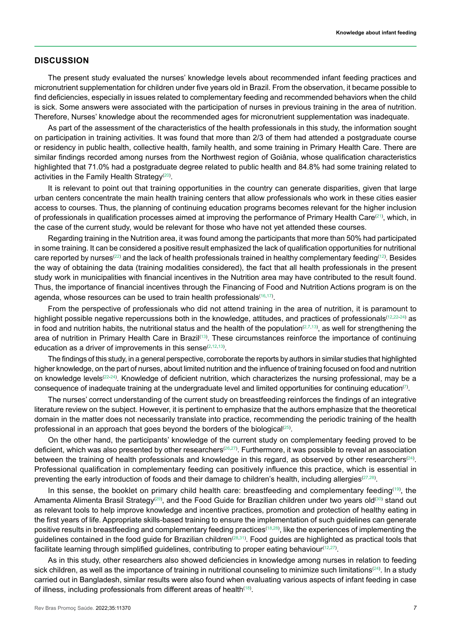#### **DISCUSSION**

The present study evaluated the nurses' knowledge levels about recommended infant feeding practices and micronutrient supplementation for children under five years old in Brazil. From the observation, it became possible to find deficiencies, especially in issues related to complementary feeding and recommended behaviors when the child is sick. Some answers were associated with the participation of nurses in previous training in the area of nutrition. Therefore, Nurses' knowledge about the recommended ages for micronutrient supplementation was inadequate.

As part of the assessment of the characteristics of the health professionals in this study, the information sought on participation in training activities. It was found that more than 2/3 of them had attended a postgraduate course or residency in public health, collective health, family health, and some training in Primary Health Care. There are similar findings recorded among nurses from the Northwest region of Goiânia, whose qualification characteristics highlighted that 71.0% had a postgraduate degree related to public health and 84.8% had some training related to activities in the Family Health Strategy $^{(20)}$  $^{(20)}$  $^{(20)}$ .

It is relevant to point out that training opportunities in the country can generate disparities, given that large urban centers concentrate the main health training centers that allow professionals who work in these cities easier access to courses. Thus, the planning of continuing education programs becomes relevant for the higher inclusion of professionals in qualification processes aimed at improving the performance of Primary Health Care $^{(21)}$  $^{(21)}$  $^{(21)}$ , which, in the case of the current study, would be relevant for those who have not yet attended these courses.

Regarding training in the Nutrition area, it was found among the participants that more than 50% had participated in some training. It can be considered a positive result emphasized the lack of qualification opportunities for nutritional care reported by nurses $^{(22)}$  $^{(22)}$  $^{(22)}$  and the lack of health professionals trained in healthy complementary feeding $^{(12)}$  $^{(12)}$  $^{(12)}$ . Besides the way of obtaining the data (training modalities considered), the fact that all health professionals in the present study work in municipalities with financial incentives in the Nutrition area may have contributed to the result found. Thus, the importance of financial incentives through the Financing of Food and Nutrition Actions program is on the agenda, whose resources can be used to train health professionals[\(16,](#page-8-14)[17\)](#page-8-15) .

From the perspective of professionals who did not attend training in the area of nutrition, it is paramount to highlight possible negative repercussions both in the knowledge, attitudes, and practices of professionals<sup>([12](#page-8-10),[22](#page-9-3)[-24\)](#page-9-4)</sup> as in food and nutrition habits, the nutritional status and the health of the population $^{(2,7,13)}$  $^{(2,7,13)}$  $^{(2,7,13)}$  $^{(2,7,13)}$  $^{(2,7,13)}$ , as well for strengthening the area of nutrition in Primary Health Care in Brazil<sup>[\(13\)](#page-8-11)</sup>. These circumstances reinforce the importance of continuing education as a driver of improvements in this sense $(2,12,13)$  $(2,12,13)$  $(2,12,13)$ .

The findings of this study, in a general perspective, corroborate the reports by authors in similar studies that highlighted higher knowledge, on the part of nurses, about limited nutrition and the influence of training focused on food and nutrition on knowledge levels<sup>[\(22-](#page-9-3)[24](#page-9-4))</sup>. Knowledge of deficient nutrition, which characterizes the nursing professional, may be a consequence of inadequate training at the undergraduate level and limited opportunities for continuing education ${}^{\!(\!)}$ .

The nurses' correct understanding of the current study on breastfeeding reinforces the findings of an integrative literature review on the subject. However, it is pertinent to emphasize that the authors emphasize that the theoretical domain in the matter does not necessarily translate into practice, recommending the periodic training of the health professional in an approach that goes beyond the borders of the biological<sup>[\(25\)](#page-9-5)</sup>.

On the other hand, the participants' knowledge of the current study on complementary feeding proved to be deficient, which was also presented by other researchers<sup>([26](#page-9-6)[,27](#page-9-7))</sup>. Furthermore, it was possible to reveal an association between the training of health professionals and knowledge in this regard, as observed by other researchers $^{(24)}.$  $^{(24)}.$  $^{(24)}.$ Professional qualification in complementary feeding can positively influence this practice, which is essential in preventing the early introduction of foods and their damage to children's health, including allergies $^{(27,28)}$  $^{(27,28)}$  $^{(27,28)}$  $^{(27,28)}$  $^{(27,28)}$ .

In this sense, the booklet on primary child health care: breastfeeding and complementary feeding<sup>[\(19](#page-9-0))</sup>, the Amamenta Alimenta Brasil Strategy<sup>([29](#page-9-9))</sup>, and the Food Guide for Brazilian children under two years old<sup>([30](#page-9-10))</sup> stand out as relevant tools to help improve knowledge and incentive practices, promotion and protection of healthy eating in the first years of life. Appropriate skills-based training to ensure the implementation of such guidelines can generate positive results in breastfeeding and complementary feeding practices([18](#page-8-16),[28](#page-9-8)) , like the experiences of implementing the guidelines contained in the food guide for Brazilian children $^{(28,31)}$  $^{(28,31)}$  $^{(28,31)}$  $^{(28,31)}$ . Food guides are highlighted as practical tools that facilitate learning through simplified guidelines, contributing to proper eating behaviour $^{\text{\tiny{(12,27)}}}.$  $^{\text{\tiny{(12,27)}}}.$  $^{\text{\tiny{(12,27)}}}.$  $^{\text{\tiny{(12,27)}}}.$ 

As in this study, other researchers also showed deficiencies in knowledge among nurses in relation to feeding sick children, as well as the importance of training in nutritional counseling to minimize such limitations $^{(24)}.$  $^{(24)}.$  $^{(24)}.$  In a study carried out in Bangladesh, similar results were also found when evaluating various aspects of infant feeding in case of illness, including professionals from different areas of health $^{\text{\tiny{(18)}}}.$  $^{\text{\tiny{(18)}}}.$  $^{\text{\tiny{(18)}}}.$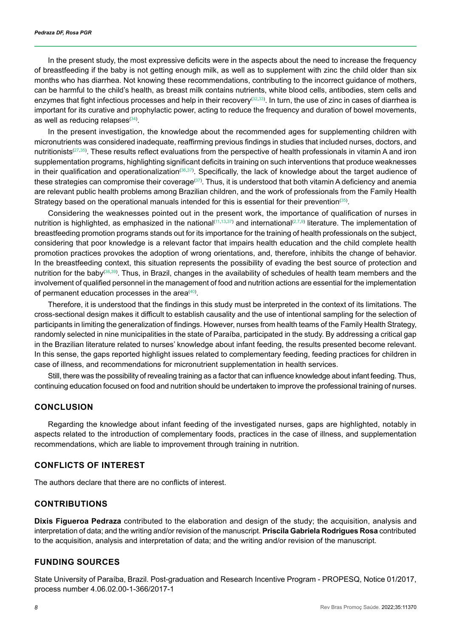In the present study, the most expressive deficits were in the aspects about the need to increase the frequency of breastfeeding if the baby is not getting enough milk, as well as to supplement with zinc the child older than six months who has diarrhea. Not knowing these recommendations, contributing to the incorrect guidance of mothers, can be harmful to the child's health, as breast milk contains nutrients, white blood cells, antibodies, stem cells and enzymes that fight infectious processes and help in their recovery<sup>([32](#page-9-12),[33](#page-9-13))</sup>. In turn, the use of zinc in cases of diarrhea is important for its curative and prophylactic power, acting to reduce the frequency and duration of bowel movements, as well as reducing relapses $(34)$  $(34)$  $(34)$ .

In the present investigation, the knowledge about the recommended ages for supplementing children with micronutrients was considered inadequate, reaffirming previous findings in studies that included nurses, doctors, and nutritionists<sup>([27](#page-9-7),[35](#page-9-15))</sup>. These results reflect evaluations from the perspective of health professionals in vitamin A and iron supplementation programs, highlighting significant deficits in training on such interventions that produce weaknesses in their qualification and operationalization"). Specifically, the lack of knowledge about the target audience of these strategies can compromise their coverage. Thus, it is understood that both vitamin A deficiency and anemia are relevant public health problems among Brazilian children, and the work of professionals from the Family Health Strategy based on the operational manuals intended for this is essential for their prevention $^{\text{\tiny (35)}}$  $^{\text{\tiny (35)}}$  $^{\text{\tiny (35)}}$ .

Considering the weaknesses pointed out in the present work, the importance of qualification of nurses in nutrition is highlighted, as emphasized in the national $^{(11,13,37)}$  $^{(11,13,37)}$  $^{(11,13,37)}$  $^{(11,13,37)}$  $^{(11,13,37)}$  $^{(11,13,37)}$  $^{(11,13,37)}$  and international $^{(2,7,9)}$  $^{(2,7,9)}$  $^{(2,7,9)}$  $^{(2,7,9)}$  $^{(2,7,9)}$  literature. The implementation of breastfeeding promotion programs stands out for its importance for the training of health professionals on the subject, considering that poor knowledge is a relevant factor that impairs health education and the child complete health promotion practices provokes the adoption of wrong orientations, and, therefore, inhibits the change of behavior. In the breastfeeding context, this situation represents the possibility of evading the best source of protection and nutrition for the baby<sup>([38](#page-9-18),[39](#page-9-19))</sup>. Thus, in Brazil, changes in the availability of schedules of health team members and the involvement of qualified personnel in the management of food and nutrition actions are essential for the implementation of permanent education processes in the area $^{\scriptscriptstyle{(40)}}$  $^{\scriptscriptstyle{(40)}}$  $^{\scriptscriptstyle{(40)}}$ .

Therefore, it is understood that the findings in this study must be interpreted in the context of its limitations. The cross-sectional design makes it difficult to establish causality and the use of intentional sampling for the selection of participants in limiting the generalization of findings. However, nurses from health teams of the Family Health Strategy, randomly selected in nine municipalities in the state of Paraíba, participated in the study. By addressing a critical gap in the Brazilian literature related to nurses' knowledge about infant feeding, the results presented become relevant. In this sense, the gaps reported highlight issues related to complementary feeding, feeding practices for children in case of illness, and recommendations for micronutrient supplementation in health services.

Still, there was the possibility of revealing training as a factor that can influence knowledge about infant feeding. Thus, continuing education focused on food and nutrition should be undertaken to improve the professional training of nurses.

## **CONCLUSION**

Regarding the knowledge about infant feeding of the investigated nurses, gaps are highlighted, notably in aspects related to the introduction of complementary foods, practices in the case of illness, and supplementation recommendations, which are liable to improvement through training in nutrition.

#### **CONFLICTS OF INTEREST**

The authors declare that there are no conflicts of interest.

## **CONTRIBUTIONS**

**Dixis Figueroa Pedraza** contributed to the elaboration and design of the study; the acquisition, analysis and interpretation of data; and the writing and/or revision of the manuscript. **Priscila Gabriela Rodrigues Rosa** contributed to the acquisition, analysis and interpretation of data; and the writing and/or revision of the manuscript.

## **FUNDING SOURCES**

State University of Paraíba, Brazil. Post-graduation and Research Incentive Program - PROPESQ, Notice 01/2017, process number 4.06.02.00-1-366/2017-1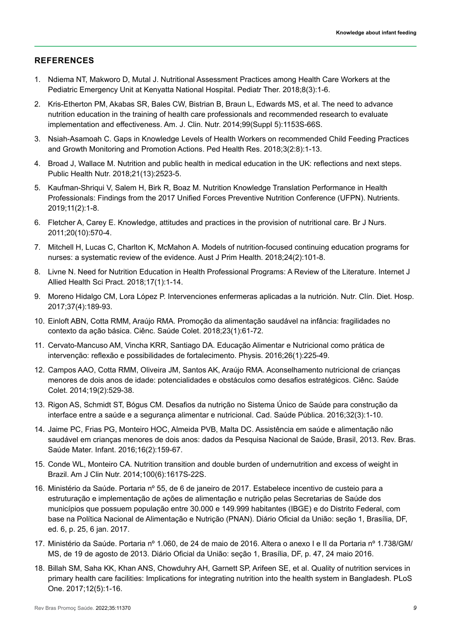## **REFERENCES**

- <span id="page-8-0"></span>1. Ndiema NT, Makworo D, Mutal J. Nutritional Assessment Practices among Health Care Workers at the Pediatric Emergency Unit at Kenyatta National Hospital. Pediatr Ther. 2018;8(3):1-6.
- <span id="page-8-1"></span>2. Kris-Etherton PM, Akabas SR, Bales CW, Bistrian B, Braun L, Edwards MS, et al. The need to advance nutrition education in the training of health care professionals and recommended research to evaluate implementation and effectiveness. Am. J. Clin. Nutr. 2014;99(Suppl 5):1153S-66S.
- <span id="page-8-2"></span>3. Nsiah-Asamoah C. Gaps in Knowledge Levels of Health Workers on recommended Child Feeding Practices and Growth Monitoring and Promotion Actions. Ped Health Res. 2018;3(2:8):1-13.
- <span id="page-8-3"></span>4. Broad J, Wallace M. Nutrition and public health in medical education in the UK: reflections and next steps. Public Health Nutr. 2018;21(13):2523-5.
- <span id="page-8-4"></span>5. Kaufman-Shriqui V, Salem H, Birk R, Boaz M. Nutrition Knowledge Translation Performance in Health Professionals: Findings from the 2017 Unified Forces Preventive Nutrition Conference (UFPN). Nutrients. 2019;11(2):1-8.
- <span id="page-8-5"></span>6. Fletcher A, Carey E. Knowledge, attitudes and practices in the provision of nutritional care. Br J Nurs. 2011;20(10):570-4.
- <span id="page-8-6"></span>7. Mitchell H, Lucas C, Charlton K, McMahon A. Models of nutrition-focused continuing education programs for nurses: a systematic review of the evidence. Aust J Prim Health. 2018;24(2):101-8.
- <span id="page-8-7"></span>8. Livne N. Need for Nutrition Education in Health Professional Programs: A Review of the Literature. Internet J Allied Health Sci Pract. 2018;17(1):1-14.
- <span id="page-8-8"></span>9. Moreno Hidalgo CM, Lora López P. Intervenciones enfermeras aplicadas a la nutrición. Nutr. Clín. Diet. Hosp. 2017;37(4):189-93.
- <span id="page-8-9"></span>10. Einloft ABN, Cotta RMM, Araújo RMA. Promoção da alimentação saudável na infância: fragilidades no contexto da ação básica. Ciênc. Saúde Colet. 2018;23(1):61-72.
- <span id="page-8-17"></span>11. Cervato-Mancuso AM, Vincha KRR, Santiago DA. Educação Alimentar e Nutricional como prática de intervenção: reflexão e possibilidades de fortalecimento. Physis. 2016;26(1):225-49.
- <span id="page-8-10"></span>12. Campos AAO, Cotta RMM, Oliveira JM, Santos AK, Araújo RMA. Aconselhamento nutricional de crianças menores de dois anos de idade: potencialidades e obstáculos como desafios estratégicos. Ciênc. Saúde Colet. 2014;19(2):529-38.
- <span id="page-8-11"></span>13. Rigon AS, Schmidt ST, Bógus CM. Desafios da nutrição no Sistema Único de Saúde para construção da interface entre a saúde e a segurança alimentar e nutricional. Cad. Saúde Pública. 2016;32(3):1-10.
- <span id="page-8-12"></span>14. Jaime PC, Frias PG, Monteiro HOC, Almeida PVB, Malta DC. Assistência em saúde e alimentação não saudável em crianças menores de dois anos: dados da Pesquisa Nacional de Saúde, Brasil, 2013. Rev. Bras. Saúde Mater. Infant. 2016;16(2):159-67.
- <span id="page-8-13"></span>15. Conde WL, Monteiro CA. Nutrition transition and double burden of undernutrition and excess of weight in Brazil. Am J Clin Nutr. 2014;100(6):1617S-22S.
- <span id="page-8-14"></span>16. Ministério da Saúde. Portaria nº 55, de 6 de janeiro de 2017. Estabelece incentivo de custeio para a estruturação e implementação de ações de alimentação e nutrição pelas Secretarias de Saúde dos municípios que possuem população entre 30.000 e 149.999 habitantes (IBGE) e do Distrito Federal, com base na Política Nacional de Alimentação e Nutrição (PNAN). Diário Oficial da União: seção 1, Brasília, DF, ed. 6, p. 25, 6 jan. 2017.
- <span id="page-8-15"></span>17. Ministério da Saúde. Portaria nº 1.060, de 24 de maio de 2016. Altera o anexo I e II da Portaria nº 1.738/GM/ MS, de 19 de agosto de 2013. Diário Oficial da União: seção 1, Brasília, DF, p. 47, 24 maio 2016.
- <span id="page-8-16"></span>18. Billah SM, Saha KK, Khan ANS, Chowduhry AH, Garnett SP, Arifeen SE, et al. Quality of nutrition services in primary health care facilities: Implications for integrating nutrition into the health system in Bangladesh. PLoS One. 2017;12(5):1-16.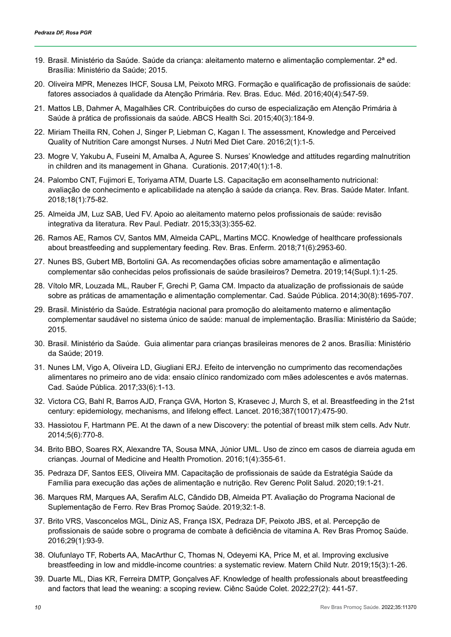- <span id="page-9-0"></span>19. Brasil. Ministério da Saúde. Saúde da criança: aleitamento materno e alimentação complementar. 2ª ed. Brasília: Ministério da Saúde; 2015.
- <span id="page-9-1"></span>20. Oliveira MPR, Menezes IHCF, Sousa LM, Peixoto MRG. Formação e qualificação de profissionais de saúde: fatores associados à qualidade da Atenção Primária. Rev. Bras. Educ. Méd. 2016;40(4):547-59.
- <span id="page-9-2"></span>21. Mattos LB, Dahmer A, Magalhães CR. Contribuições do curso de especialização em Atenção Primária à Saúde à prática de profissionais da saúde. ABCS Health Sci. 2015;40(3):184-9.
- <span id="page-9-3"></span>22. Miriam Theilla RN, Cohen J, Singer P, Liebman C, Kagan I. The assessment, Knowledge and Perceived Quality of Nutrition Care amongst Nurses. J Nutri Med Diet Care. 2016;2(1):1-5.
- 23. Mogre V, Yakubu A, Fuseini M, Amalba A, Aguree S. Nurses' Knowledge and attitudes regarding malnutrition in children and its management in Ghana. Curationis. 2017;40(1):1-8.
- <span id="page-9-4"></span>24. Palombo CNT, Fujimori E, Toriyama ATM, Duarte LS. Capacitação em aconselhamento nutricional: avaliação de conhecimento e aplicabilidade na atenção à saúde da criança. Rev. Bras. Saúde Mater. Infant. 2018;18(1):75-82.
- <span id="page-9-5"></span>25. Almeida JM, Luz SAB, Ued FV. Apoio ao aleitamento materno pelos profissionais de saúde: revisão integrativa da literatura. Rev Paul. Pediatr. 2015;33(3):355-62.
- <span id="page-9-6"></span>26. Ramos AE, Ramos CV, Santos MM, Almeida CAPL, Martins MCC. Knowledge of healthcare professionals about breastfeeding and supplementary feeding. Rev. Bras. Enferm. 2018;71(6):2953-60.
- <span id="page-9-7"></span>27. Nunes BS, Gubert MB, Bortolini GA. As recomendações oficias sobre amamentação e alimentação complementar são conhecidas pelos profissionais de saúde brasileiros? Demetra. 2019;14(Supl.1):1-25.
- <span id="page-9-8"></span>28. Vítolo MR, Louzada ML, Rauber F, Grechi P, Gama CM. Impacto da atualização de profissionais de saúde sobre as práticas de amamentação e alimentação complementar. Cad. Saúde Pública. 2014;30(8):1695-707.
- <span id="page-9-9"></span>29. Brasil. Ministério da Saúde. Estratégia nacional para promoção do aleitamento materno e alimentação complementar saudável no sistema único de saúde: manual de implementação. Brasília: Ministério da Saúde; 2015.
- <span id="page-9-10"></span>30. Brasil. Ministério da Saúde. Guia alimentar para crianças brasileiras menores de 2 anos. Brasília: Ministério da Saúde; 2019.
- <span id="page-9-11"></span>31. Nunes LM, Vigo A, Oliveira LD, Giugliani ERJ. Efeito de intervenção no cumprimento das recomendações alimentares no primeiro ano de vida: ensaio clínico randomizado com mães adolescentes e avós maternas. Cad. Saúde Pública. 2017;33(6):1-13.
- <span id="page-9-12"></span>32. Victora CG, Bahl R, Barros AJD, França GVA, Horton S, Krasevec J, Murch S, et al. Breastfeeding in the 21st century: epidemiology, mechanisms, and lifelong effect. Lancet. 2016;387(10017):475-90.
- <span id="page-9-13"></span>33. Hassiotou F, Hartmann PE. At the dawn of a new Discovery: the potential of breast milk stem cells. Adv Nutr. 2014;5(6):770-8.
- <span id="page-9-14"></span>34. Brito BBO, Soares RX, Alexandre TA, Sousa MNA, Júnior UML. Uso de zinco em casos de diarreia aguda em crianças. Journal of Medicine and Health Promotion. 2016;1(4):355-61.
- <span id="page-9-15"></span>35. Pedraza DF, Santos EES, Oliveira MM. Capacitação de profissionais de saúde da Estratégia Saúde da Família para execução das ações de alimentação e nutrição. Rev Gerenc Polit Salud. 2020;19:1-21.
- <span id="page-9-16"></span>36. Marques RM, Marques AA, Serafim ALC, Cândido DB, Almeida PT. Avaliação do Programa Nacional de Suplementação de Ferro. Rev Bras Promoç Saúde. 2019;32:1-8.
- <span id="page-9-17"></span>37. Brito VRS, Vasconcelos MGL, Diniz AS, França ISX, Pedraza DF, Peixoto JBS, et al. Percepção de profissionais de saúde sobre o programa de combate à deficiência de vitamina A. Rev Bras Promoç Saúde. 2016;29(1):93-9.
- <span id="page-9-18"></span>38. Olufunlayo TF, Roberts AA, MacArthur C, Thomas N, Odeyemi KA, Price M, et al. Improving exclusive breastfeeding in low and middle-income countries: a systematic review. Matern Child Nutr. 2019;15(3):1-26.
- <span id="page-9-19"></span>39. Duarte ML, Dias KR, Ferreira DMTP, Gonçalves AF. Knowledge of health professionals about breastfeeding and factors that lead the weaning: a scoping review. Ciênc Saúde Colet. 2022;27(2): 441-57.